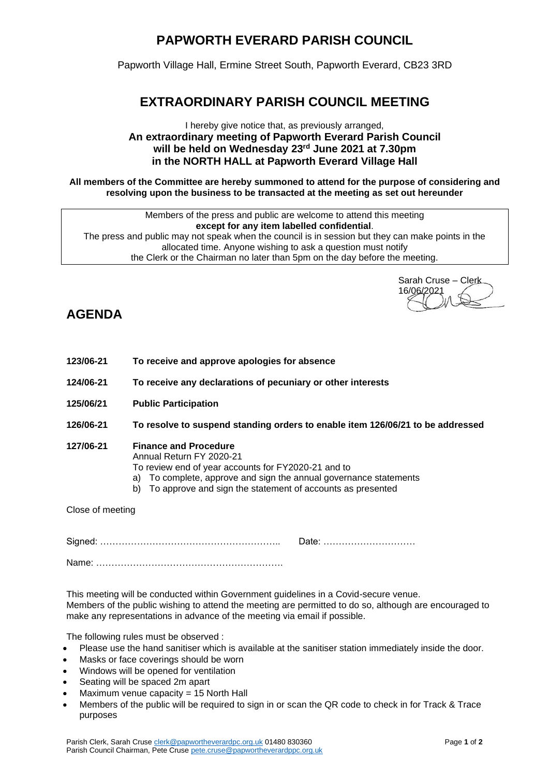# **PAPWORTH EVERARD PARISH COUNCIL**

Papworth Village Hall, Ermine Street South, Papworth Everard, CB23 3RD

### **EXTRAORDINARY PARISH COUNCIL MEETING**

#### I hereby give notice that, as previously arranged, **An extraordinary meeting of Papworth Everard Parish Council will be held on Wednesday 23rd June 2021 at 7.30pm in the NORTH HALL at Papworth Everard Village Hall**

**All members of the Committee are hereby summoned to attend for the purpose of considering and resolving upon the business to be transacted at the meeting as set out hereunder**

Members of the press and public are welcome to attend this meeting **except for any item labelled confidential**. The press and public may not speak when the council is in session but they can make points in the allocated time. Anyone wishing to ask a question must notify the Clerk or the Chairman no later than 5pm on the day before the meeting.

Sarah Cruse – Clerk 16/06/2021

## **AGENDA**

- **123/06-21 To receive and approve apologies for absence**
- **124/06-21 To receive any declarations of pecuniary or other interests**
- **125/06/21 Public Participation**
- **126/06-21 To resolve to suspend standing orders to enable item 126/06/21 to be addressed**

#### **127/06-21 Finance and Procedure**

Annual Return FY 2020-21

- To review end of year accounts for FY2020-21 and to
- a) To complete, approve and sign the annual governance statements
- b) To approve and sign the statement of accounts as presented

Close of meeting

Signed: ………………………………………………….. Date: ………………………… Name: …………………………………………………….

This meeting will be conducted within Government guidelines in a Covid-secure venue. Members of the public wishing to attend the meeting are permitted to do so, although are encouraged to make any representations in advance of the meeting via email if possible.

The following rules must be observed :

- Please use the hand sanitiser which is available at the sanitiser station immediately inside the door.
- Masks or face coverings should be worn
- Windows will be opened for ventilation
- Seating will be spaced 2m apart
- Maximum venue capacity = 15 North Hall
- Members of the public will be required to sign in or scan the QR code to check in for Track & Trace purposes